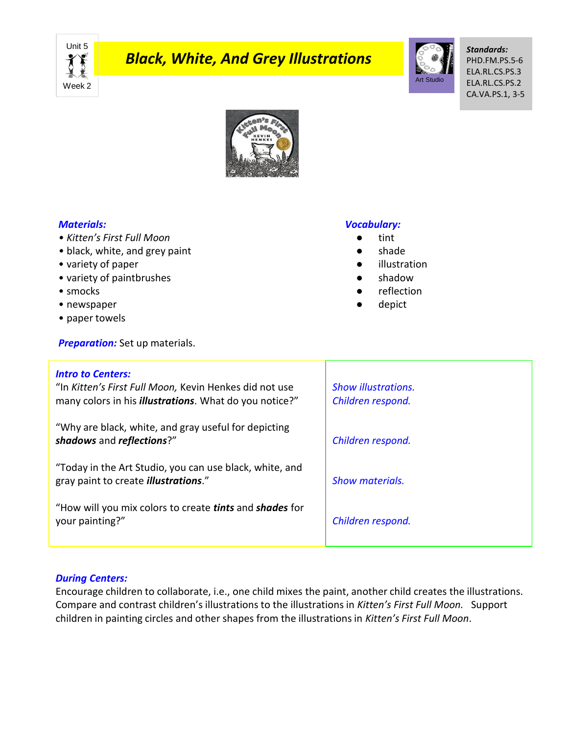Unit 5 X. Week 2

# *Black, White, And Grey Illustrations*



*Standards:* PHD.FM.PS.5-6 ELA.RL.CS.PS.3 ELA.RL.CS.PS.2 CA.VA.PS.1, 3-5



## *Materials:*

- *Kitten's First Full Moon*
- *•* black, white, and grey paint
- variety of paper
- variety of paintbrushes
- smocks
- newspaper
- paper towels

**Preparation:** Set up materials.

## *Vocabulary:*

- tint
- shade
- illustration
- shadow
- reflection
- depict

| <b>Intro to Centers:</b><br>"In Kitten's First Full Moon, Kevin Henkes did not use<br>many colors in his <i>illustrations</i> . What do you notice?" | <b>Show illustrations.</b><br>Children respond. |
|------------------------------------------------------------------------------------------------------------------------------------------------------|-------------------------------------------------|
| "Why are black, white, and gray useful for depicting<br>shadows and reflections?"                                                                    | Children respond.                               |
| "Today in the Art Studio, you can use black, white, and<br>gray paint to create <i>illustrations."</i>                                               | <b>Show materials.</b>                          |
| "How will you mix colors to create <i>tints</i> and <b>shades</b> for<br>your painting?"                                                             | Children respond.                               |

### *During Centers:*

Encourage children to collaborate, i.e., one child mixes the paint, another child creates the illustrations. Compare and contrast children's illustrations to the illustrations in *Kitten's First Full Moon.* Support children in painting circles and other shapes from the illustrations in *Kitten's First Full Moon*.